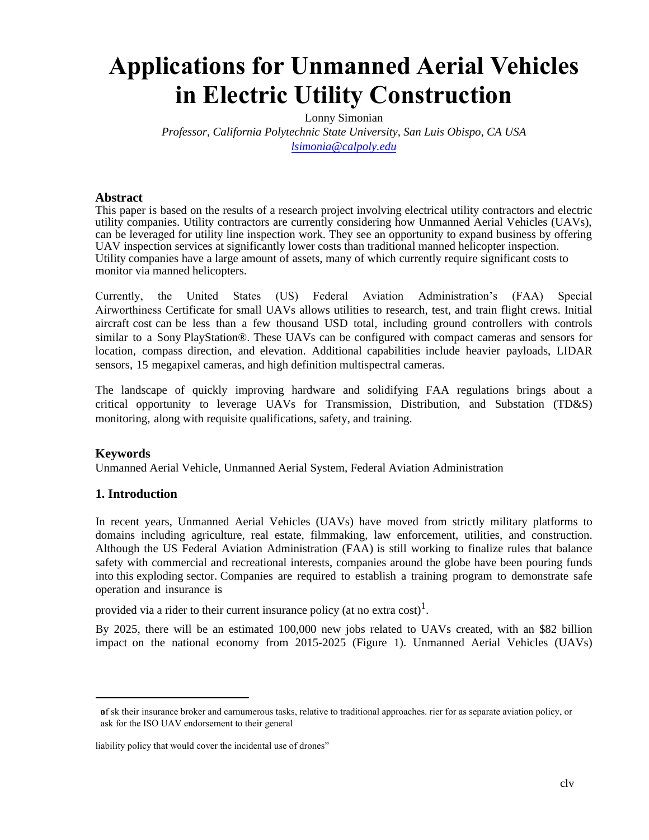# **Applications for Unmanned Aerial Vehicles in Electric Utility Construction**

Lonny Simonian *Professor, California Polytechnic State University, San Luis Obispo, CA USA lsimonia@calpoly.edu*

#### **Abstract**

This paper is based on the results of a research project involving electrical utility contractors and electric utility companies. Utility contractors are currently considering how Unmanned Aerial Vehicles (UAVs), can be leveraged for utility line inspection work. They see an opportunity to expand business by offering UAV inspection services at significantly lower costs than traditional manned helicopter inspection. Utility companies have a large amount of assets, many of which currently require significant costs to monitor via manned helicopters.

Currently, the United States (US) Federal Aviation Administration's (FAA) Special Airworthiness Certificate for small UAVs allows utilities to research, test, and train flight crews. Initial aircraft cost can be less than a few thousand USD total, including ground controllers with controls similar to a Sony PlayStation®. These UAVs can be configured with compact cameras and sensors for location, compass direction, and elevation. Additional capabilities include heavier payloads, LIDAR sensors, 15 megapixel cameras, and high definition multispectral cameras.

The landscape of quickly improving hardware and solidifying FAA regulations brings about a critical opportunity to leverage UAVs for Transmission, Distribution, and Substation (TD&S) monitoring, along with requisite qualifications, safety, and training.

#### **Keywords**

Unmanned Aerial Vehicle, Unmanned Aerial System, Federal Aviation Administration

#### **1. Introduction**

In recent years, Unmanned Aerial Vehicles (UAVs) have moved from strictly military platforms to domains including agriculture, real estate, filmmaking, law enforcement, utilities, and construction. Although the US Federal Aviation Administration (FAA) is still working to finalize rules that balance safety with commercial and recreational interests, companies around the globe have been pouring funds into this exploding sector. Companies are required to establish a training program to demonstrate safe operation and insurance is

provided via a rider to their current insurance policy (at no extra cost)<sup>1</sup>.

By 2025, there will be an estimated 100,000 new jobs related to UAVs created, with an \$82 billion impact on the national economy from 2015-2025 (Figure 1). Unmanned Aerial Vehicles (UAVs)

af sk their insurance broker and carnumerous tasks, relative to traditional approaches. rier for as separate aviation policy, or ask for the ISO UAV endorsement to their general

liability policy that would cover the incidental use of drones"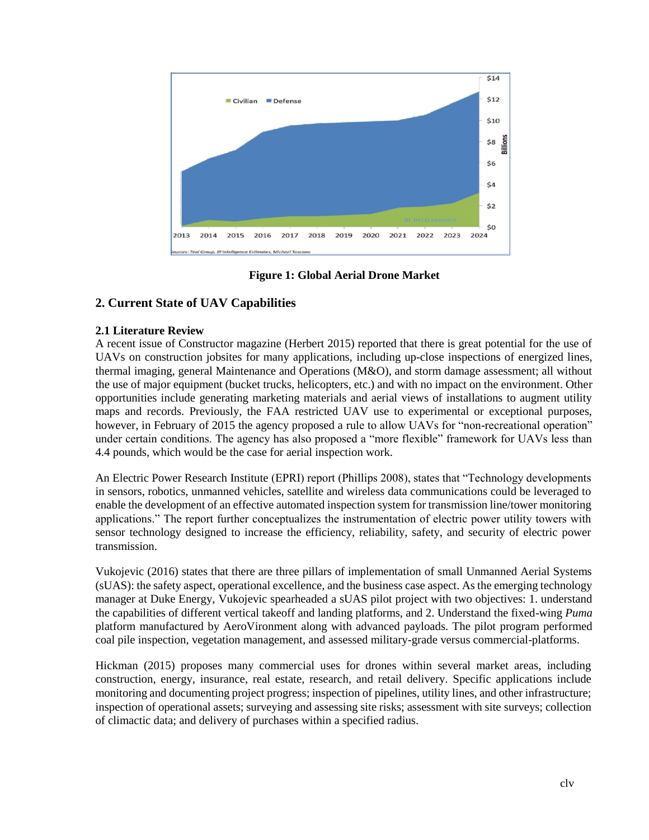

**Figure 1: Global Aerial Drone Market** 

# **2. Current State of UAV Capabilities**

#### **2.1 Literature Review**

A recent issue of Constructor magazine (Herbert 2015) reported that there is great potential for the use of UAVs on construction jobsites for many applications, including up-close inspections of energized lines, thermal imaging, general Maintenance and Operations (M&O), and storm damage assessment; all without the use of major equipment (bucket trucks, helicopters, etc.) and with no impact on the environment. Other opportunities include generating marketing materials and aerial views of installations to augment utility maps and records. Previously, the FAA restricted UAV use to experimental or exceptional purposes, however, in February of 2015 the agency proposed a rule to allow UAVs for "non-recreational operation" under certain conditions. The agency has also proposed a "more flexible" framework for UAVs less than 4.4 pounds, which would be the case for aerial inspection work.

An Electric Power Research Institute (EPRI) report (Phillips 2008), states that "Technology developments in sensors, robotics, unmanned vehicles, satellite and wireless data communications could be leveraged to enable the development of an effective automated inspection system for transmission line/tower monitoring applications." The report further conceptualizes the instrumentation of electric power utility towers with sensor technology designed to increase the efficiency, reliability, safety, and security of electric power transmission.

Vukojevic (2016) states that there are three pillars of implementation of small Unmanned Aerial Systems (sUAS): the safety aspect, operational excellence, and the business case aspect. As the emerging technology manager at Duke Energy, Vukojevic spearheaded a sUAS pilot project with two objectives: 1. understand the capabilities of different vertical takeoff and landing platforms, and 2. Understand the fixed-wing *Puma* platform manufactured by AeroVironment along with advanced payloads. The pilot program performed coal pile inspection, vegetation management, and assessed military-grade versus commercial-platforms.

Hickman (2015) proposes many commercial uses for drones within several market areas, including construction, energy, insurance, real estate, research, and retail delivery. Specific applications include monitoring and documenting project progress; inspection of pipelines, utility lines, and other infrastructure; inspection of operational assets; surveying and assessing site risks; assessment with site surveys; collection of climactic data; and delivery of purchases within a specified radius.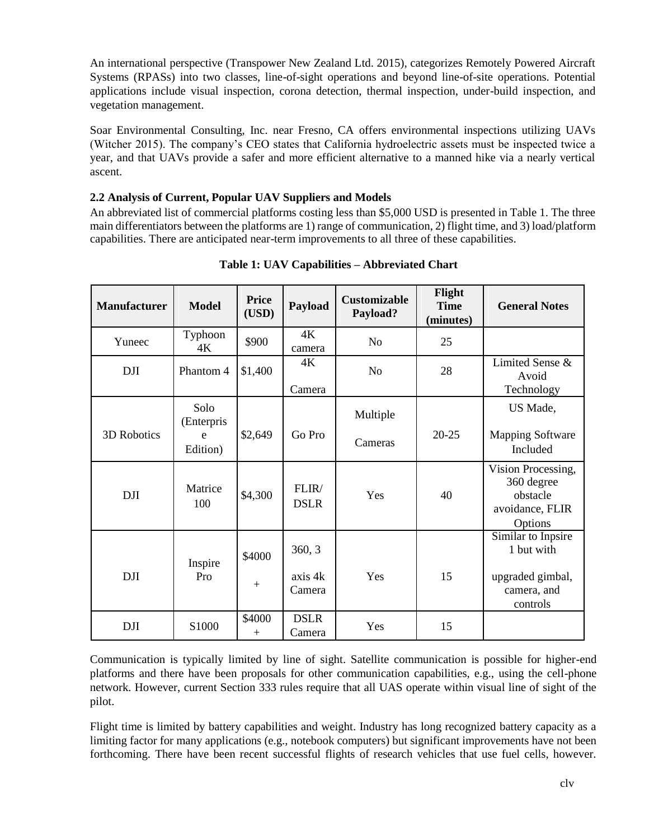An international perspective (Transpower New Zealand Ltd. 2015), categorizes Remotely Powered Aircraft Systems (RPASs) into two classes, line-of-sight operations and beyond line-of-site operations. Potential applications include visual inspection, corona detection, thermal inspection, under-build inspection, and vegetation management.

Soar Environmental Consulting, Inc. near Fresno, CA offers environmental inspections utilizing UAVs (Witcher 2015). The company's CEO states that California hydroelectric assets must be inspected twice a year, and that UAVs provide a safer and more efficient alternative to a manned hike via a nearly vertical ascent.

#### **2.2 Analysis of Current, Popular UAV Suppliers and Models**

An abbreviated list of commercial platforms costing less than \$5,000 USD is presented in Table 1. The three main differentiators between the platforms are 1) range of communication, 2) flight time, and 3) load/platform capabilities. There are anticipated near-term improvements to all three of these capabilities.

| <b>Manufacturer</b> | <b>Model</b>                        | <b>Price</b><br>(USD) | Payload                     | <b>Customizable</b><br>Payload? | Flight<br><b>Time</b><br>(minutes) | <b>General Notes</b>                                                            |
|---------------------|-------------------------------------|-----------------------|-----------------------------|---------------------------------|------------------------------------|---------------------------------------------------------------------------------|
| Yuneec              | Typhoon<br>4Κ                       | \$900                 | 4K<br>camera                | N <sub>o</sub>                  | 25                                 |                                                                                 |
| <b>DJI</b>          | Phantom 4                           | \$1,400               | 4K<br>Camera                | N <sub>o</sub>                  | 28                                 | Limited Sense &<br>Avoid<br>Technology                                          |
| 3D Robotics         | Solo<br>(Enterpris<br>e<br>Edition) | \$2,649               | Go Pro                      | Multiple<br>Cameras             | 20-25                              | US Made,<br>Mapping Software<br>Included                                        |
| <b>DJI</b>          | Matrice<br>100                      | \$4,300               | FLIR/<br><b>DSLR</b>        | Yes                             | 40                                 | Vision Processing,<br>360 degree<br>obstacle<br>avoidance, FLIR<br>Options      |
| <b>DJI</b>          | Inspire<br>Pro                      | \$4000<br>$+$         | 360, 3<br>axis 4k<br>Camera | Yes                             | 15                                 | Similar to Inpsire<br>1 but with<br>upgraded gimbal,<br>camera, and<br>controls |
| <b>DJI</b>          | S1000                               | \$4000<br>$^{+}$      | <b>DSLR</b><br>Camera       | Yes                             | 15                                 |                                                                                 |

**Table 1: UAV Capabilities – Abbreviated Chart**

Communication is typically limited by line of sight. Satellite communication is possible for higher-end platforms and there have been proposals for other communication capabilities, e.g., using the cell-phone network. However, current Section 333 rules require that all UAS operate within visual line of sight of the pilot.

Flight time is limited by battery capabilities and weight. Industry has long recognized battery capacity as a limiting factor for many applications (e.g., notebook computers) but significant improvements have not been forthcoming. There have been recent successful flights of research vehicles that use fuel cells, however.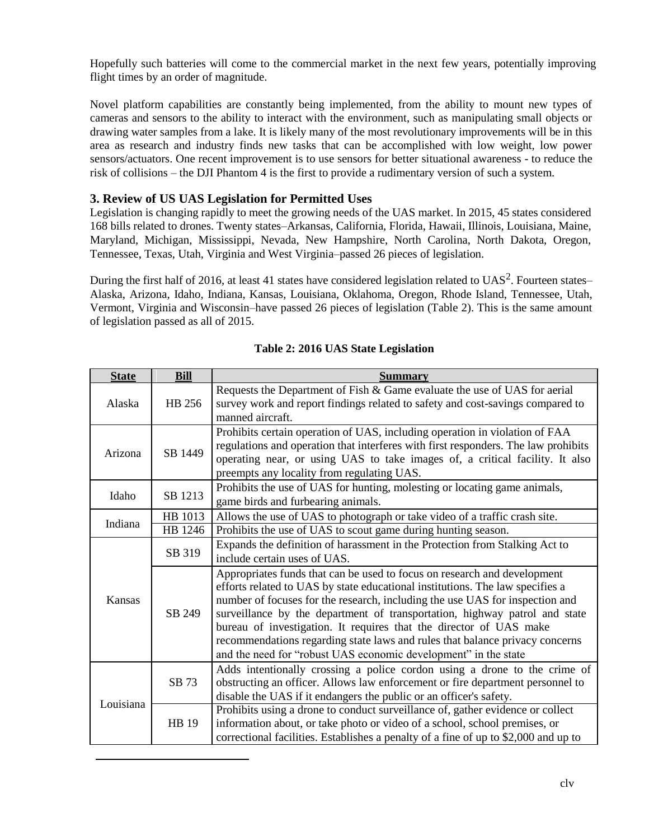Hopefully such batteries will come to the commercial market in the next few years, potentially improving flight times by an order of magnitude.

Novel platform capabilities are constantly being implemented, from the ability to mount new types of cameras and sensors to the ability to interact with the environment, such as manipulating small objects or drawing water samples from a lake. It is likely many of the most revolutionary improvements will be in this area as research and industry finds new tasks that can be accomplished with low weight, low power sensors/actuators. One recent improvement is to use sensors for better situational awareness - to reduce the risk of collisions – the DJI Phantom 4 is the first to provide a rudimentary version of such a system.

### **3. Review of US UAS Legislation for Permitted Uses**

Legislation is changing rapidly to meet the growing needs of the UAS market. In 2015, 45 states considered 168 bills related to drones. Twenty states–Arkansas, California, Florida, Hawaii, Illinois, Louisiana, Maine, Maryland, Michigan, Mississippi, Nevada, New Hampshire, North Carolina, North Dakota, Oregon, Tennessee, Texas, Utah, Virginia and West Virginia–passed 26 pieces of legislation.

During the first half of 2016, at least 41 states have considered legislation related to UAS<sup>2</sup>. Fourteen states– Alaska, Arizona, Idaho, Indiana, Kansas, Louisiana, Oklahoma, Oregon, Rhode Island, Tennessee, Utah, Vermont, Virginia and Wisconsin–have passed 26 pieces of legislation (Table 2). This is the same amount of legislation passed as all of 2015.

| <b>State</b> | <b>Bill</b> | <b>Summary</b>                                                                                                                                                                                                                                                                                                                                                                                                                                                                                                                                   |
|--------------|-------------|--------------------------------------------------------------------------------------------------------------------------------------------------------------------------------------------------------------------------------------------------------------------------------------------------------------------------------------------------------------------------------------------------------------------------------------------------------------------------------------------------------------------------------------------------|
| Alaska       | HB 256      | Requests the Department of Fish & Game evaluate the use of UAS for aerial<br>survey work and report findings related to safety and cost-savings compared to<br>manned aircraft.                                                                                                                                                                                                                                                                                                                                                                  |
| Arizona      | SB 1449     | Prohibits certain operation of UAS, including operation in violation of FAA<br>regulations and operation that interferes with first responders. The law prohibits<br>operating near, or using UAS to take images of, a critical facility. It also<br>preempts any locality from regulating UAS.                                                                                                                                                                                                                                                  |
| Idaho        | SB 1213     | Prohibits the use of UAS for hunting, molesting or locating game animals,<br>game birds and furbearing animals.                                                                                                                                                                                                                                                                                                                                                                                                                                  |
| Indiana      | HB 1013     | Allows the use of UAS to photograph or take video of a traffic crash site.                                                                                                                                                                                                                                                                                                                                                                                                                                                                       |
|              | HB 1246     | Prohibits the use of UAS to scout game during hunting season.                                                                                                                                                                                                                                                                                                                                                                                                                                                                                    |
| Kansas       | SB 319      | Expands the definition of harassment in the Protection from Stalking Act to<br>include certain uses of UAS.                                                                                                                                                                                                                                                                                                                                                                                                                                      |
|              | SB 249      | Appropriates funds that can be used to focus on research and development<br>efforts related to UAS by state educational institutions. The law specifies a<br>number of focuses for the research, including the use UAS for inspection and<br>surveillance by the department of transportation, highway patrol and state<br>bureau of investigation. It requires that the director of UAS make<br>recommendations regarding state laws and rules that balance privacy concerns<br>and the need for "robust UAS economic development" in the state |
| Louisiana    | SB 73       | Adds intentionally crossing a police cordon using a drone to the crime of<br>obstructing an officer. Allows law enforcement or fire department personnel to<br>disable the UAS if it endangers the public or an officer's safety.                                                                                                                                                                                                                                                                                                                |
|              | HB 19       | Prohibits using a drone to conduct surveillance of, gather evidence or collect<br>information about, or take photo or video of a school, school premises, or<br>correctional facilities. Establishes a penalty of a fine of up to \$2,000 and up to                                                                                                                                                                                                                                                                                              |

#### **Table 2: 2016 UAS State Legislation**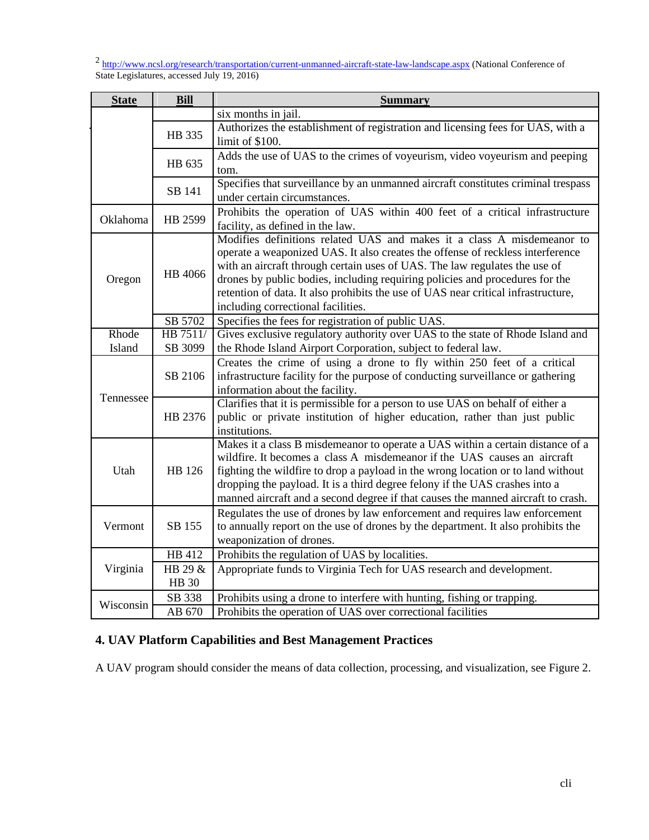<sup>2</sup> http://www.ncsl.org/research/transportation/current-unmanned-aircraft-state-law-landscape.aspx (National Conference of State Legislatures, accessed July 19, 2016)

| <b>State</b> | <b>Bill</b>  | <b>Summary</b>                                                                    |
|--------------|--------------|-----------------------------------------------------------------------------------|
|              |              | six months in jail.                                                               |
|              | HB 335       | Authorizes the establishment of registration and licensing fees for UAS, with a   |
|              |              | limit of \$100.                                                                   |
|              | HB 635       | Adds the use of UAS to the crimes of voyeurism, video voyeurism and peeping       |
|              |              | tom.                                                                              |
|              | SB 141       | Specifies that surveillance by an unmanned aircraft constitutes criminal trespass |
|              |              | under certain circumstances.                                                      |
| Oklahoma     | HB 2599      | Prohibits the operation of UAS within 400 feet of a critical infrastructure       |
|              |              | facility, as defined in the law.                                                  |
|              | HB 4066      | Modifies definitions related UAS and makes it a class A misdemeanor to            |
|              |              | operate a weaponized UAS. It also creates the offense of reckless interference    |
|              |              | with an aircraft through certain uses of UAS. The law regulates the use of        |
| Oregon       |              | drones by public bodies, including requiring policies and procedures for the      |
|              |              | retention of data. It also prohibits the use of UAS near critical infrastructure, |
|              |              | including correctional facilities.                                                |
|              | SB 5702      | Specifies the fees for registration of public UAS.                                |
| Rhode        | HB 7511/     | Gives exclusive regulatory authority over UAS to the state of Rhode Island and    |
| Island       | SB 3099      | the Rhode Island Airport Corporation, subject to federal law.                     |
|              | SB 2106      | Creates the crime of using a drone to fly within 250 feet of a critical           |
|              |              | infrastructure facility for the purpose of conducting surveillance or gathering   |
|              |              | information about the facility.                                                   |
| Tennessee    | HB 2376      | Clarifies that it is permissible for a person to use UAS on behalf of either a    |
|              |              | public or private institution of higher education, rather than just public        |
|              |              | institutions.                                                                     |
|              | HB 126       | Makes it a class B misdemeanor to operate a UAS within a certain distance of a    |
| Utah         |              | wildfire. It becomes a class A misdemeanor if the UAS causes an aircraft          |
|              |              | fighting the wildfire to drop a payload in the wrong location or to land without  |
|              |              | dropping the payload. It is a third degree felony if the UAS crashes into a       |
|              |              | manned aircraft and a second degree if that causes the manned aircraft to crash.  |
|              | SB 155       | Regulates the use of drones by law enforcement and requires law enforcement       |
| Vermont      |              | to annually report on the use of drones by the department. It also prohibits the  |
|              |              | weaponization of drones.                                                          |
| Virginia     | HB 412       | Prohibits the regulation of UAS by localities.                                    |
|              | HB 29 &      | Appropriate funds to Virginia Tech for UAS research and development.              |
|              | <b>HB</b> 30 |                                                                                   |
| Wisconsin    | SB 338       | Prohibits using a drone to interfere with hunting, fishing or trapping.           |
|              | AB 670       | Prohibits the operation of UAS over correctional facilities                       |

# **4. UAV Platform Capabilities and Best Management Practices**

A UAV program should consider the means of data collection, processing, and visualization, see Figure 2.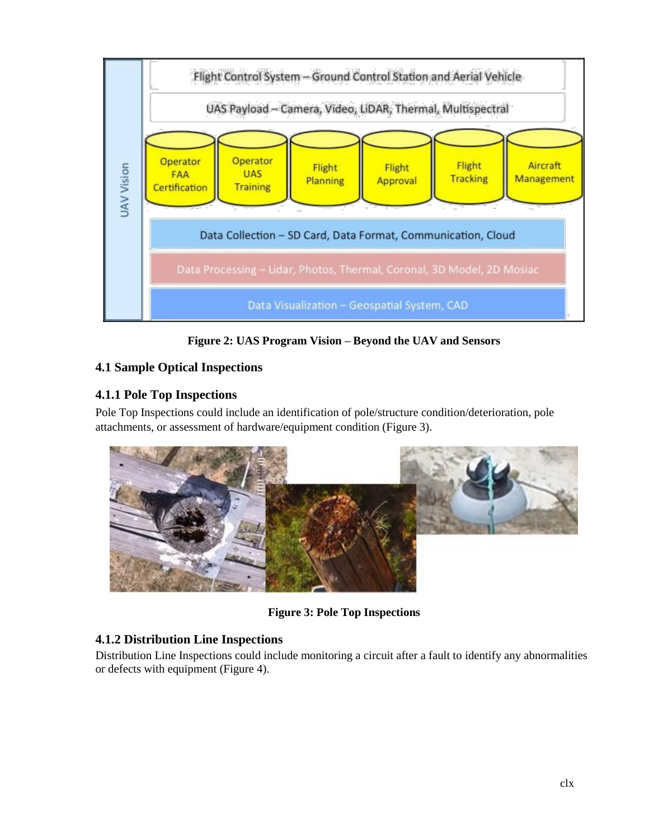

**Figure 2: UAS Program Vision – Beyond the UAV and Sensors**

# **4.1 Sample Optical Inspections**

# **4.1.1 Pole Top Inspections**

Pole Top Inspections could include an identification of pole/structure condition/deterioration, pole attachments, or assessment of hardware/equipment condition (Figure 3).



**Figure 3: Pole Top Inspections**

# **4.1.2 Distribution Line Inspections**

Distribution Line Inspections could include monitoring a circuit after a fault to identify any abnormalities or defects with equipment (Figure 4).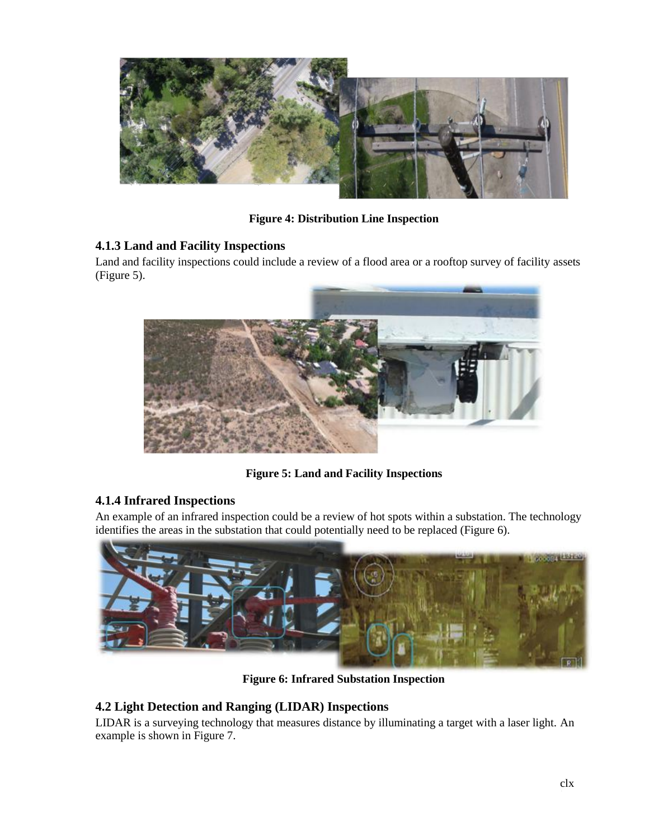

**Figure 4: Distribution Line Inspection**

# **4.1.3 Land and Facility Inspections**

Land and facility inspections could include a review of a flood area or a rooftop survey of facility assets (Figure 5).



**Figure 5: Land and Facility Inspections**

## **4.1.4 Infrared Inspections**

An example of an infrared inspection could be a review of hot spots within a substation. The technology identifies the areas in the substation that could potentially need to be replaced (Figure 6).



**Figure 6: Infrared Substation Inspection**

## **4.2 Light Detection and Ranging (LIDAR) Inspections**

LIDAR is a surveying technology that measures distance by illuminating a target with a laser light. An example is shown in Figure 7.